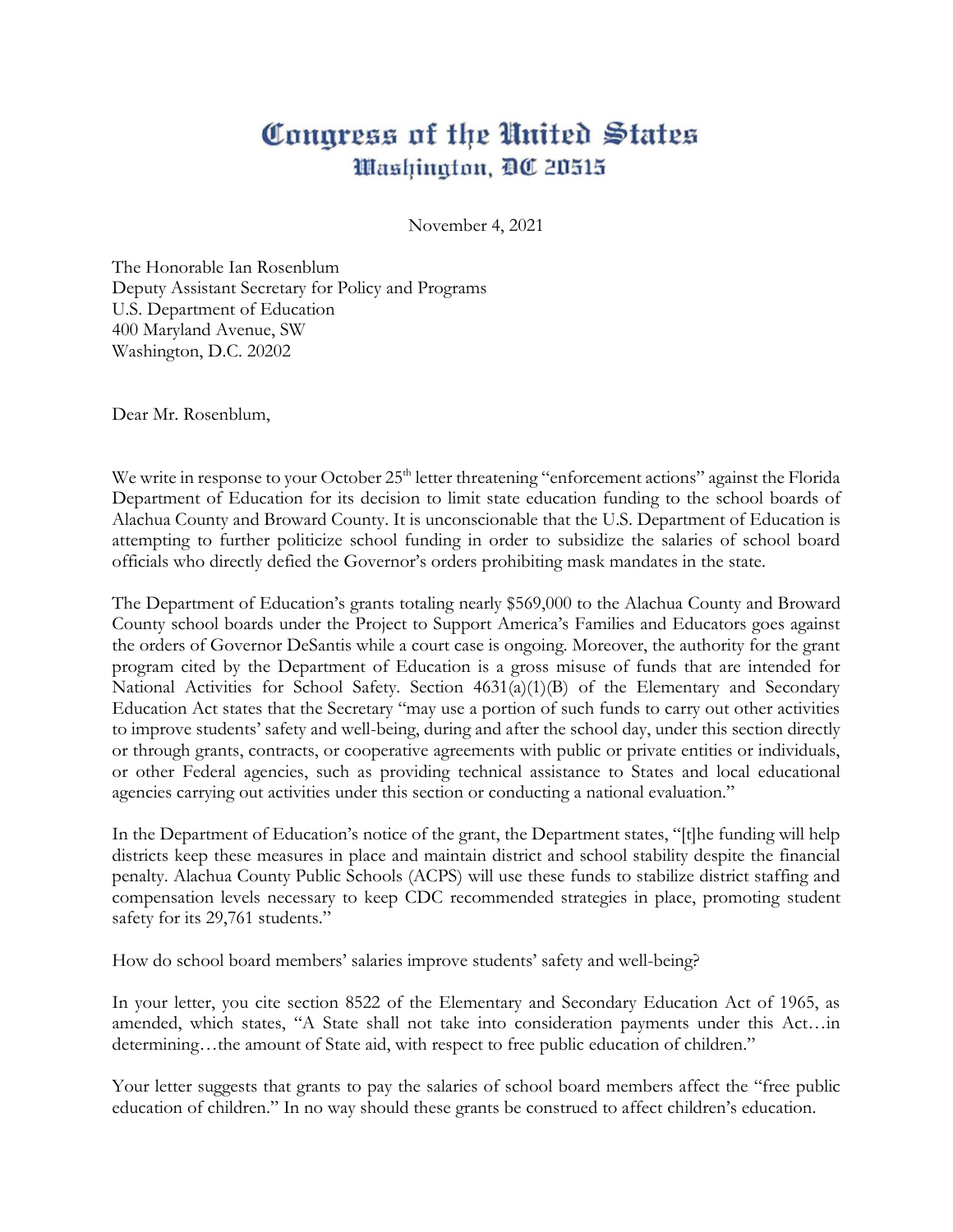## Congress of the United States *<i>Mashington, DC 20515*

November 4, 2021

The Honorable Ian Rosenblum Deputy Assistant Secretary for Policy and Programs U.S. Department of Education 400 Maryland Avenue, SW Washington, D.C. 20202

Dear Mr. Rosenblum,

We write in response to your October 25<sup>th</sup> letter threatening "enforcement actions" against the Florida Department of Education for its decision to limit state education funding to the school boards of Alachua County and Broward County. It is unconscionable that the U.S. Department of Education is attempting to further politicize school funding in order to subsidize the salaries of school board officials who directly defied the Governor's orders prohibiting mask mandates in the state.

The Department of Education's grants totaling nearly \$569,000 to the Alachua County and Broward County school boards under the Project to Support America's Families and Educators goes against the orders of Governor DeSantis while a court case is ongoing. Moreover, the authority for the grant program cited by the Department of Education is a gross misuse of funds that are intended for National Activities for School Safety. Section 4631(a)(1)(B) of the Elementary and Secondary Education Act states that the Secretary "may use a portion of such funds to carry out other activities to improve students' safety and well-being, during and after the school day, under this section directly or through grants, contracts, or cooperative agreements with public or private entities or individuals, or other Federal agencies, such as providing technical assistance to States and local educational agencies carrying out activities under this section or conducting a national evaluation."

In the Department of Education's notice of the grant, the Department states, "[t]he funding will help districts keep these measures in place and maintain district and school stability despite the financial penalty. Alachua County Public Schools (ACPS) will use these funds to stabilize district staffing and compensation levels necessary to keep CDC recommended strategies in place, promoting student safety for its 29,761 students."

How do school board members' salaries improve students' safety and well-being?

In your letter, you cite section 8522 of the Elementary and Secondary Education Act of 1965, as amended, which states, "A State shall not take into consideration payments under this Act…in determining...the amount of State aid, with respect to free public education of children."

Your letter suggests that grants to pay the salaries of school board members affect the "free public education of children." In no way should these grants be construed to affect children's education.